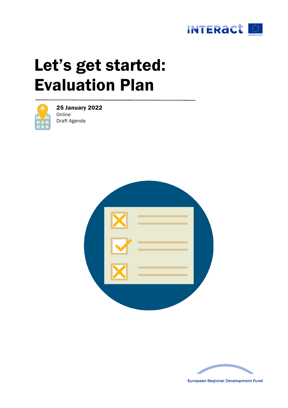

# Let's get started: Evaluation Plan



25 January 2022 Online Draft Agenda





**European Regional Development Fund**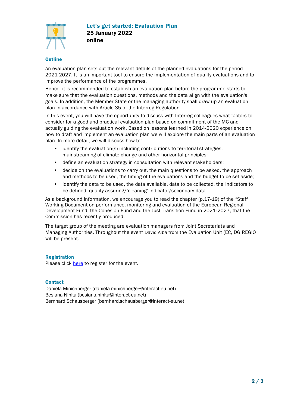

# **Outline**

An evaluation plan sets out the relevant details of the planned evaluations for the period 2021-2027. It is an important tool to ensure the implementation of quality evaluations and to improve the performance of the programmes.

Hence, it is recommended to establish an evaluation plan before the programme starts to make sure that the evaluation questions, methods and the data align with the evaluation's goals. In addition, the Member State or the managing authority shall draw up an evaluation plan in accordance with Article 35 of the Interreg Regulation.

In this event, you will have the opportunity to discuss with Interreg colleagues what factors to consider for a good and practical evaluation plan based on commitment of the MC and actually guiding the evaluation work. Based on lessons learned in 2014-2020 experience on how to draft and implement an evaluation plan we will explore the main parts of an evaluation plan. In more detail, we will discuss how to:

- identify the evaluation(s) including contributions to territorial strategies, mainstreaming of climate change and other horizontal principles;
- define an evaluation strategy in consultation with relevant stakeholders;
- decide on the evaluations to carry out, the main questions to be asked, the approach and methods to be used, the timing of the evaluations and the budget to be set aside;
- identify the data to be used, the data available, data to be collected, the indicators to be defined; quality assuring/'cleaning' indicator/secondary data.

As a background information, we encourage you to read the chapter (p.17-19) of the "Staff Working Document on performance, monitoring and evaluation of the European Regional Development Fund, the Cohesion Fund and the Just Transition Fund in 2021-2027, that the Commission has recently produced.

The target group of the meeting are evaluation managers from Joint Secretariats and Managing Authorities. Throughout the event David Alba from the Evaluation Unit (EC, DG REGIO will be present.

# Registration

Please click [here](https://apps.interact-eu.net/interact/events.nsf/registrationform.xsp?eid=1BA6A) to register for the event.

# **Contact**

Daniela Minichberger [\(daniela.minichberger@interact-eu.net\)](mailto:daniela.minichberger@interact-eu.net) Besiana Ninka (besiana.ninka@interact-eu.net) Bernhard Schausberger [\(bernhard.schausberger@interact-eu.net](mailto:bernhard.schausberger@interact-eu.net)